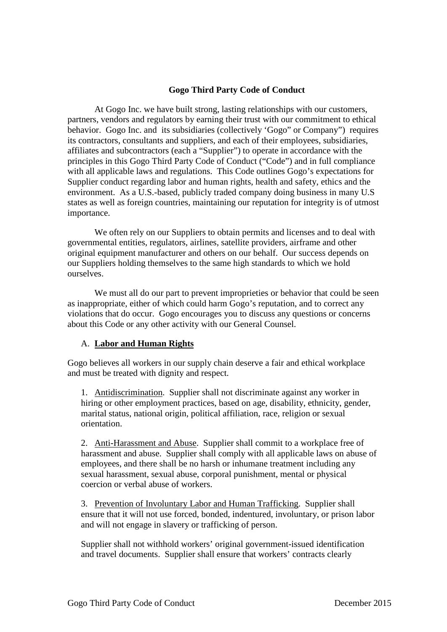### **Gogo Third Party Code of Conduct**

At Gogo Inc. we have built strong, lasting relationships with our customers, partners, vendors and regulators by earning their trust with our commitment to ethical behavior. Gogo Inc. and its subsidiaries (collectively 'Gogo" or Company") requires its contractors, consultants and suppliers, and each of their employees, subsidiaries, affiliates and subcontractors (each a "Supplier") to operate in accordance with the principles in this Gogo Third Party Code of Conduct ("Code") and in full compliance with all applicable laws and regulations. This Code outlines Gogo's expectations for Supplier conduct regarding labor and human rights, health and safety, ethics and the environment. As a U.S.-based, publicly traded company doing business in many U.S states as well as foreign countries, maintaining our reputation for integrity is of utmost importance.

We often rely on our Suppliers to obtain permits and licenses and to deal with governmental entities, regulators, airlines, satellite providers, airframe and other original equipment manufacturer and others on our behalf. Our success depends on our Suppliers holding themselves to the same high standards to which we hold ourselves.

We must all do our part to prevent improprieties or behavior that could be seen as inappropriate, either of which could harm Gogo's reputation, and to correct any violations that do occur. Gogo encourages you to discuss any questions or concerns about this Code or any other activity with our General Counsel.

#### A. **Labor and Human Rights**

Gogo believes all workers in our supply chain deserve a fair and ethical workplace and must be treated with dignity and respect.

1. Antidiscrimination. Supplier shall not discriminate against any worker in hiring or other employment practices, based on age, disability, ethnicity, gender, marital status, national origin, political affiliation, race, religion or sexual orientation.

2. Anti-Harassment and Abuse. Supplier shall commit to a workplace free of harassment and abuse. Supplier shall comply with all applicable laws on abuse of employees, and there shall be no harsh or inhumane treatment including any sexual harassment, sexual abuse, corporal punishment, mental or physical coercion or verbal abuse of workers.

3. Prevention of Involuntary Labor and Human Trafficking. Supplier shall ensure that it will not use forced, bonded, indentured, involuntary, or prison labor and will not engage in slavery or trafficking of person.

Supplier shall not withhold workers' original government-issued identification and travel documents. Supplier shall ensure that workers' contracts clearly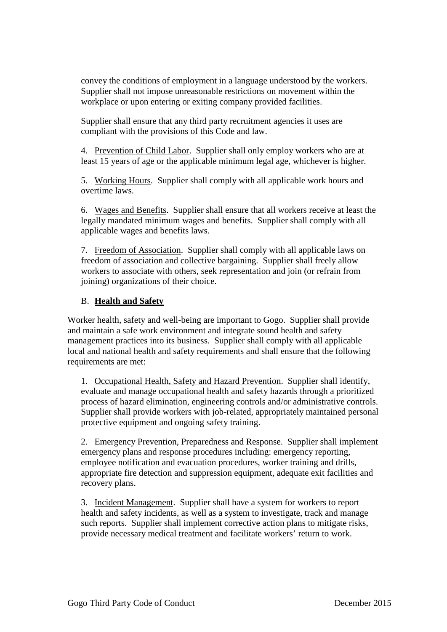convey the conditions of employment in a language understood by the workers. Supplier shall not impose unreasonable restrictions on movement within the workplace or upon entering or exiting company provided facilities.

Supplier shall ensure that any third party recruitment agencies it uses are compliant with the provisions of this Code and law.

4. Prevention of Child Labor. Supplier shall only employ workers who are at least 15 years of age or the applicable minimum legal age, whichever is higher.

5. Working Hours. Supplier shall comply with all applicable work hours and overtime laws.

6. Wages and Benefits. Supplier shall ensure that all workers receive at least the legally mandated minimum wages and benefits. Supplier shall comply with all applicable wages and benefits laws.

7. Freedom of Association. Supplier shall comply with all applicable laws on freedom of association and collective bargaining. Supplier shall freely allow workers to associate with others, seek representation and join (or refrain from joining) organizations of their choice.

### B. **Health and Safety**

Worker health, safety and well-being are important to Gogo. Supplier shall provide and maintain a safe work environment and integrate sound health and safety management practices into its business. Supplier shall comply with all applicable local and national health and safety requirements and shall ensure that the following requirements are met:

1. Occupational Health, Safety and Hazard Prevention. Supplier shall identify, evaluate and manage occupational health and safety hazards through a prioritized process of hazard elimination, engineering controls and/or administrative controls. Supplier shall provide workers with job-related, appropriately maintained personal protective equipment and ongoing safety training.

2. Emergency Prevention, Preparedness and Response. Supplier shall implement emergency plans and response procedures including: emergency reporting, employee notification and evacuation procedures, worker training and drills, appropriate fire detection and suppression equipment, adequate exit facilities and recovery plans.

3. Incident Management. Supplier shall have a system for workers to report health and safety incidents, as well as a system to investigate, track and manage such reports. Supplier shall implement corrective action plans to mitigate risks, provide necessary medical treatment and facilitate workers' return to work.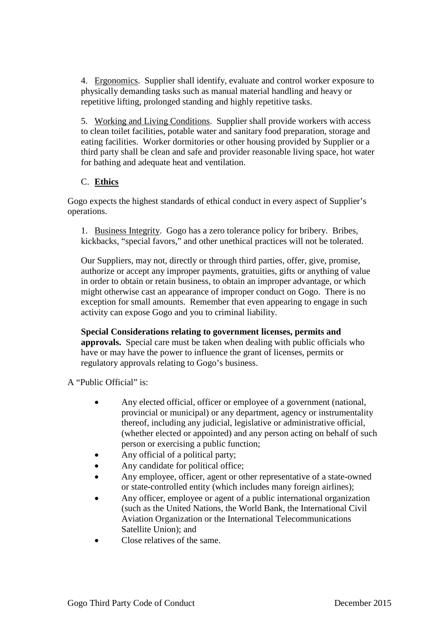4. Ergonomics. Supplier shall identify, evaluate and control worker exposure to physically demanding tasks such as manual material handling and heavy or repetitive lifting, prolonged standing and highly repetitive tasks.

5. Working and Living Conditions. Supplier shall provide workers with access to clean toilet facilities, potable water and sanitary food preparation, storage and eating facilities. Worker dormitories or other housing provided by Supplier or a third party shall be clean and safe and provider reasonable living space, hot water for bathing and adequate heat and ventilation.

# C. **Ethics**

Gogo expects the highest standards of ethical conduct in every aspect of Supplier's operations.

1. Business Integrity. Gogo has a zero tolerance policy for bribery. Bribes, kickbacks, "special favors," and other unethical practices will not be tolerated.

Our Suppliers, may not, directly or through third parties, offer, give, promise, authorize or accept any improper payments, gratuities, gifts or anything of value in order to obtain or retain business, to obtain an improper advantage, or which might otherwise cast an appearance of improper conduct on Gogo. There is no exception for small amounts. Remember that even appearing to engage in such activity can expose Gogo and you to criminal liability.

**Special Considerations relating to government licenses, permits and approvals.** Special care must be taken when dealing with public officials who have or may have the power to influence the grant of licenses, permits or regulatory approvals relating to Gogo's business.

A "Public Official" is:

- Any elected official, officer or employee of a government (national, provincial or municipal) or any department, agency or instrumentality thereof, including any judicial, legislative or administrative official, (whether elected or appointed) and any person acting on behalf of such person or exercising a public function;
- Any official of a political party;
- Any candidate for political office;
- Any employee, officer, agent or other representative of a state-owned or state-controlled entity (which includes many foreign airlines);
- Any officer, employee or agent of a public international organization (such as the United Nations, the World Bank, the International Civil Aviation Organization or the International Telecommunications Satellite Union); and
- Close relatives of the same.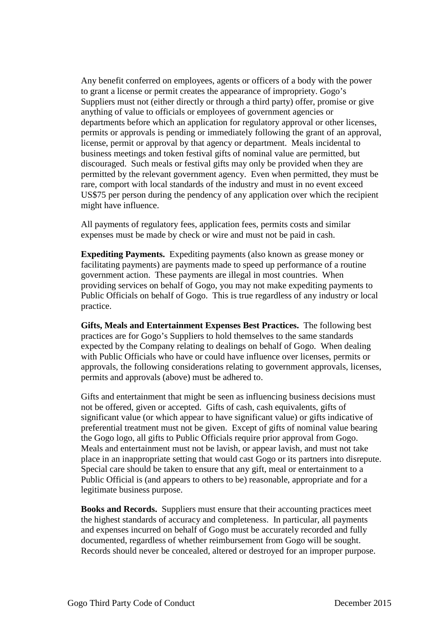Any benefit conferred on employees, agents or officers of a body with the power to grant a license or permit creates the appearance of impropriety. Gogo's Suppliers must not (either directly or through a third party) offer, promise or give anything of value to officials or employees of government agencies or departments before which an application for regulatory approval or other licenses, permits or approvals is pending or immediately following the grant of an approval, license, permit or approval by that agency or department. Meals incidental to business meetings and token festival gifts of nominal value are permitted, but discouraged. Such meals or festival gifts may only be provided when they are permitted by the relevant government agency. Even when permitted, they must be rare, comport with local standards of the industry and must in no event exceed US\$75 per person during the pendency of any application over which the recipient might have influence.

All payments of regulatory fees, application fees, permits costs and similar expenses must be made by check or wire and must not be paid in cash.

**Expediting Payments.** Expediting payments (also known as grease money or facilitating payments) are payments made to speed up performance of a routine government action. These payments are illegal in most countries. When providing services on behalf of Gogo, you may not make expediting payments to Public Officials on behalf of Gogo. This is true regardless of any industry or local practice.

**Gifts, Meals and Entertainment Expenses Best Practices.** The following best practices are for Gogo's Suppliers to hold themselves to the same standards expected by the Company relating to dealings on behalf of Gogo. When dealing with Public Officials who have or could have influence over licenses, permits or approvals, the following considerations relating to government approvals, licenses, permits and approvals (above) must be adhered to.

Gifts and entertainment that might be seen as influencing business decisions must not be offered, given or accepted. Gifts of cash, cash equivalents, gifts of significant value (or which appear to have significant value) or gifts indicative of preferential treatment must not be given. Except of gifts of nominal value bearing the Gogo logo, all gifts to Public Officials require prior approval from Gogo. Meals and entertainment must not be lavish, or appear lavish, and must not take place in an inappropriate setting that would cast Gogo or its partners into disrepute. Special care should be taken to ensure that any gift, meal or entertainment to a Public Official is (and appears to others to be) reasonable, appropriate and for a legitimate business purpose.

**Books and Records.** Suppliers must ensure that their accounting practices meet the highest standards of accuracy and completeness. In particular, all payments and expenses incurred on behalf of Gogo must be accurately recorded and fully documented, regardless of whether reimbursement from Gogo will be sought. Records should never be concealed, altered or destroyed for an improper purpose.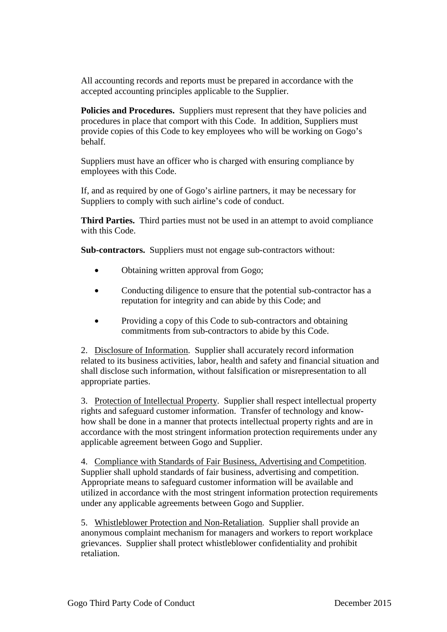All accounting records and reports must be prepared in accordance with the accepted accounting principles applicable to the Supplier.

**Policies and Procedures.** Suppliers must represent that they have policies and procedures in place that comport with this Code. In addition, Suppliers must provide copies of this Code to key employees who will be working on Gogo's behalf.

Suppliers must have an officer who is charged with ensuring compliance by employees with this Code.

If, and as required by one of Gogo's airline partners, it may be necessary for Suppliers to comply with such airline's code of conduct.

**Third Parties.** Third parties must not be used in an attempt to avoid compliance with this Code.

**Sub-contractors.** Suppliers must not engage sub-contractors without:

- Obtaining written approval from Gogo;
- Conducting diligence to ensure that the potential sub-contractor has a reputation for integrity and can abide by this Code; and
- Providing a copy of this Code to sub-contractors and obtaining commitments from sub-contractors to abide by this Code.

2. Disclosure of Information. Supplier shall accurately record information related to its business activities, labor, health and safety and financial situation and shall disclose such information, without falsification or misrepresentation to all appropriate parties.

3. Protection of Intellectual Property. Supplier shall respect intellectual property rights and safeguard customer information. Transfer of technology and knowhow shall be done in a manner that protects intellectual property rights and are in accordance with the most stringent information protection requirements under any applicable agreement between Gogo and Supplier.

4. Compliance with Standards of Fair Business, Advertising and Competition. Supplier shall uphold standards of fair business, advertising and competition. Appropriate means to safeguard customer information will be available and utilized in accordance with the most stringent information protection requirements under any applicable agreements between Gogo and Supplier.

5. Whistleblower Protection and Non-Retaliation. Supplier shall provide an anonymous complaint mechanism for managers and workers to report workplace grievances. Supplier shall protect whistleblower confidentiality and prohibit retaliation.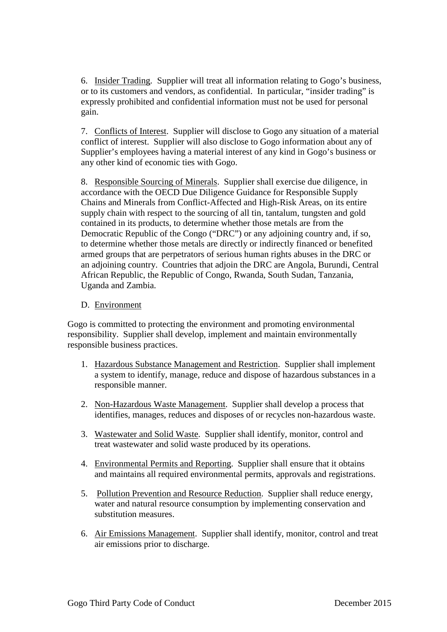6. Insider Trading. Supplier will treat all information relating to Gogo's business, or to its customers and vendors, as confidential. In particular, "insider trading" is expressly prohibited and confidential information must not be used for personal gain.

7. Conflicts of Interest. Supplier will disclose to Gogo any situation of a material conflict of interest. Supplier will also disclose to Gogo information about any of Supplier's employees having a material interest of any kind in Gogo's business or any other kind of economic ties with Gogo.

8. Responsible Sourcing of Minerals. Supplier shall exercise due diligence, in accordance with the OECD Due Diligence Guidance for Responsible Supply Chains and Minerals from Conflict-Affected and High-Risk Areas, on its entire supply chain with respect to the sourcing of all tin, tantalum, tungsten and gold contained in its products, to determine whether those metals are from the Democratic Republic of the Congo ("DRC") or any adjoining country and, if so, to determine whether those metals are directly or indirectly financed or benefited armed groups that are perpetrators of serious human rights abuses in the DRC or an adjoining country. Countries that adjoin the DRC are Angola, Burundi, Central African Republic, the Republic of Congo, Rwanda, South Sudan, Tanzania, Uganda and Zambia.

## D. Environment

Gogo is committed to protecting the environment and promoting environmental responsibility. Supplier shall develop, implement and maintain environmentally responsible business practices.

- 1. Hazardous Substance Management and Restriction. Supplier shall implement a system to identify, manage, reduce and dispose of hazardous substances in a responsible manner.
- 2. Non-Hazardous Waste Management. Supplier shall develop a process that identifies, manages, reduces and disposes of or recycles non-hazardous waste.
- 3. Wastewater and Solid Waste. Supplier shall identify, monitor, control and treat wastewater and solid waste produced by its operations.
- 4. Environmental Permits and Reporting. Supplier shall ensure that it obtains and maintains all required environmental permits, approvals and registrations.
- 5. Pollution Prevention and Resource Reduction. Supplier shall reduce energy, water and natural resource consumption by implementing conservation and substitution measures.
- 6. Air Emissions Management. Supplier shall identify, monitor, control and treat air emissions prior to discharge.